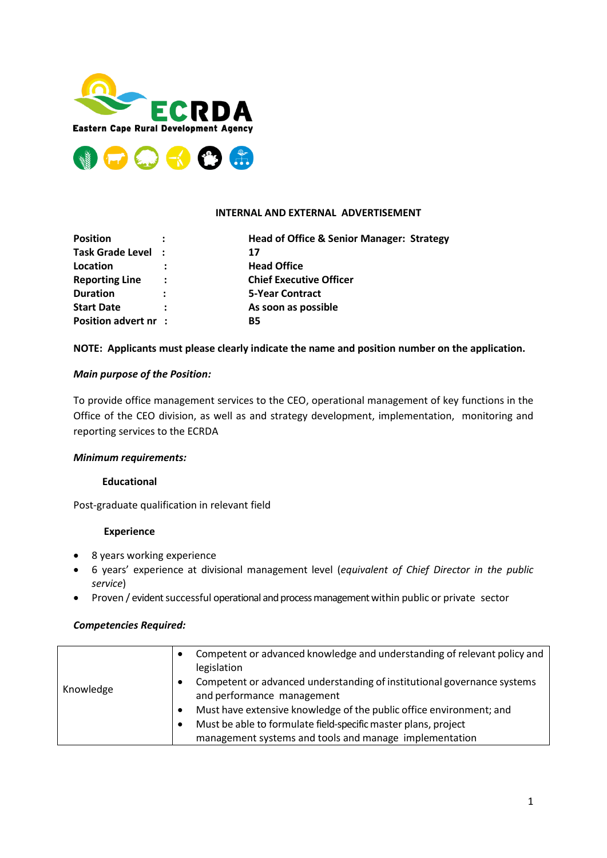



## **INTERNAL AND EXTERNAL ADVERTISEMENT**

| <b>Position</b>       |                      | <b>Head of Office &amp; Senior Manager: Strategy</b> |
|-----------------------|----------------------|------------------------------------------------------|
| Task Grade Level :    |                      | 17                                                   |
| Location              |                      | <b>Head Office</b>                                   |
| <b>Reporting Line</b> | $\ddot{\phantom{a}}$ | <b>Chief Executive Officer</b>                       |
| <b>Duration</b>       | $\ddot{\phantom{a}}$ | <b>5-Year Contract</b>                               |
| <b>Start Date</b>     |                      | As soon as possible                                  |
| Position advert nr :  |                      | <b>B5</b>                                            |

# **NOTE: Applicants must please clearly indicate the name and position number on the application.**

# *Main purpose of the Position:*

To provide office management services to the CEO, operational management of key functions in the Office of the CEO division, as well as and strategy development, implementation, monitoring and reporting services to the ECRDA

## *Minimum requirements:*

## **Educational**

Post-graduate qualification in relevant field

#### **Experience**

- 8 years working experience
- 6 years' experience at divisional management level (*equivalent of Chief Director in the public service*)
- Proven / evident successful operational and process management within public or private sector

## *Competencies Required:*

|           | $\bullet$ | Competent or advanced knowledge and understanding of relevant policy and<br>legislation               |
|-----------|-----------|-------------------------------------------------------------------------------------------------------|
| Knowledge | $\bullet$ | Competent or advanced understanding of institutional governance systems<br>and performance management |
|           |           | Must have extensive knowledge of the public office environment; and                                   |
|           |           | Must be able to formulate field-specific master plans, project                                        |
|           |           | management systems and tools and manage implementation                                                |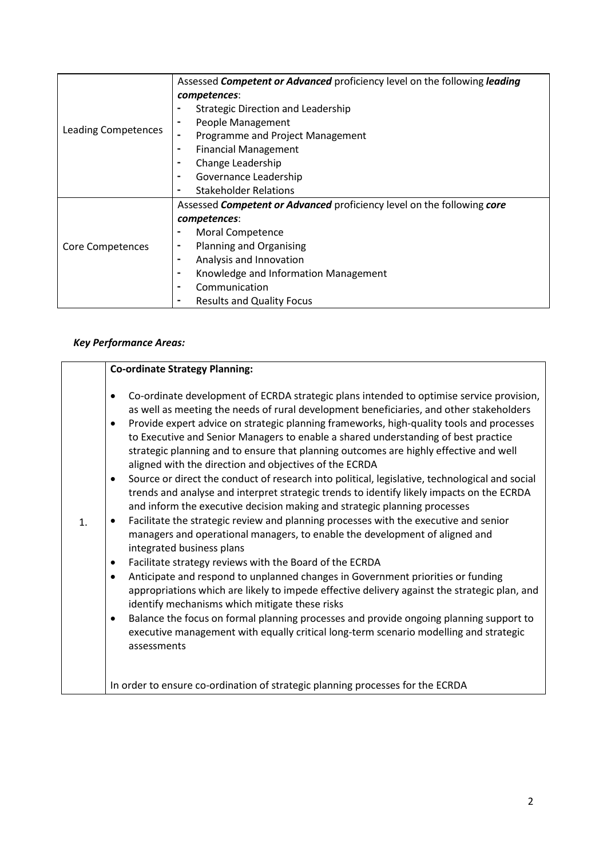|                     | Assessed Competent or Advanced proficiency level on the following leading |  |  |
|---------------------|---------------------------------------------------------------------------|--|--|
|                     | competences:                                                              |  |  |
|                     | <b>Strategic Direction and Leadership</b><br>$\blacksquare$               |  |  |
|                     | People Management<br>۰                                                    |  |  |
| Leading Competences | Programme and Project Management<br>$\blacksquare$                        |  |  |
|                     | <b>Financial Management</b><br>۰                                          |  |  |
|                     | Change Leadership<br>۰                                                    |  |  |
|                     | Governance Leadership<br>۰                                                |  |  |
|                     | <b>Stakeholder Relations</b><br>-                                         |  |  |
|                     | Assessed Competent or Advanced proficiency level on the following core    |  |  |
|                     | competences:                                                              |  |  |
|                     | Moral Competence                                                          |  |  |
| Core Competences    | Planning and Organising<br>۰                                              |  |  |
|                     | Analysis and Innovation<br>$\blacksquare$                                 |  |  |
|                     | Knowledge and Information Management<br>$\blacksquare$                    |  |  |
|                     | Communication<br>-                                                        |  |  |
|                     | <b>Results and Quality Focus</b><br>۰                                     |  |  |

# *Key Performance Areas:*

|                | <b>Co-ordinate Strategy Planning:</b>                                                                                                                                                                                                                                                                                                                                                                                                                                                                                                                                                                                                                                                                                                                                                                                                                                                                                                                                                                                                                                                                                                                                                                                                                                                                                                                                                                                                                                                                                                                                                         |
|----------------|-----------------------------------------------------------------------------------------------------------------------------------------------------------------------------------------------------------------------------------------------------------------------------------------------------------------------------------------------------------------------------------------------------------------------------------------------------------------------------------------------------------------------------------------------------------------------------------------------------------------------------------------------------------------------------------------------------------------------------------------------------------------------------------------------------------------------------------------------------------------------------------------------------------------------------------------------------------------------------------------------------------------------------------------------------------------------------------------------------------------------------------------------------------------------------------------------------------------------------------------------------------------------------------------------------------------------------------------------------------------------------------------------------------------------------------------------------------------------------------------------------------------------------------------------------------------------------------------------|
| $\mathbf{1}$ . | Co-ordinate development of ECRDA strategic plans intended to optimise service provision,<br>٠<br>as well as meeting the needs of rural development beneficiaries, and other stakeholders<br>Provide expert advice on strategic planning frameworks, high-quality tools and processes<br>$\bullet$<br>to Executive and Senior Managers to enable a shared understanding of best practice<br>strategic planning and to ensure that planning outcomes are highly effective and well<br>aligned with the direction and objectives of the ECRDA<br>Source or direct the conduct of research into political, legislative, technological and social<br>$\bullet$<br>trends and analyse and interpret strategic trends to identify likely impacts on the ECRDA<br>and inform the executive decision making and strategic planning processes<br>Facilitate the strategic review and planning processes with the executive and senior<br>$\bullet$<br>managers and operational managers, to enable the development of aligned and<br>integrated business plans<br>Facilitate strategy reviews with the Board of the ECRDA<br>$\bullet$<br>Anticipate and respond to unplanned changes in Government priorities or funding<br>$\bullet$<br>appropriations which are likely to impede effective delivery against the strategic plan, and<br>identify mechanisms which mitigate these risks<br>Balance the focus on formal planning processes and provide ongoing planning support to<br>$\bullet$<br>executive management with equally critical long-term scenario modelling and strategic<br>assessments |
|                | In order to ensure co-ordination of strategic planning processes for the ECRDA                                                                                                                                                                                                                                                                                                                                                                                                                                                                                                                                                                                                                                                                                                                                                                                                                                                                                                                                                                                                                                                                                                                                                                                                                                                                                                                                                                                                                                                                                                                |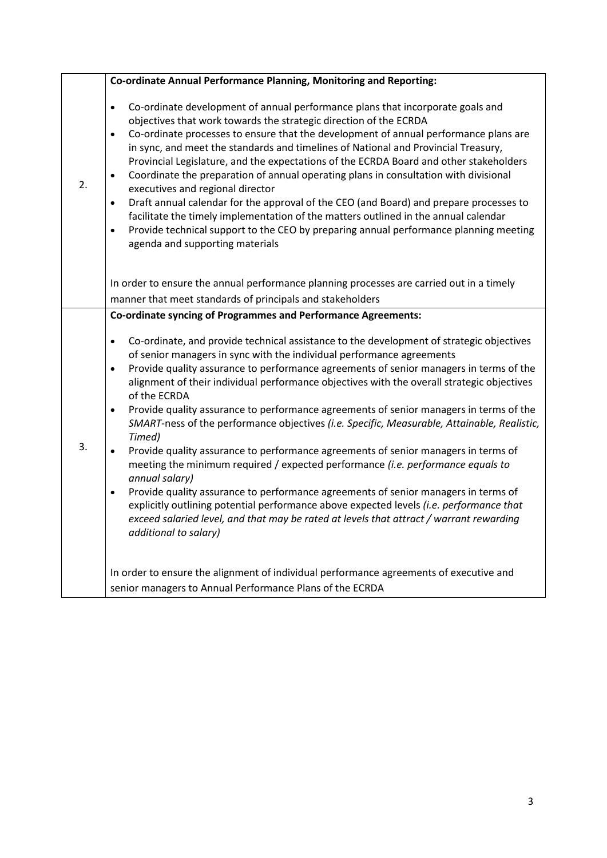|    | Co-ordinate Annual Performance Planning, Monitoring and Reporting:                                                                                                                                                                                                                                                                                                                                                                                                                                                                                                                                                                                                                                                                                                                                                                                                                                                                                                                                                                                                                                                               |
|----|----------------------------------------------------------------------------------------------------------------------------------------------------------------------------------------------------------------------------------------------------------------------------------------------------------------------------------------------------------------------------------------------------------------------------------------------------------------------------------------------------------------------------------------------------------------------------------------------------------------------------------------------------------------------------------------------------------------------------------------------------------------------------------------------------------------------------------------------------------------------------------------------------------------------------------------------------------------------------------------------------------------------------------------------------------------------------------------------------------------------------------|
| 2. | Co-ordinate development of annual performance plans that incorporate goals and<br>$\bullet$<br>objectives that work towards the strategic direction of the ECRDA<br>Co-ordinate processes to ensure that the development of annual performance plans are<br>$\bullet$<br>in sync, and meet the standards and timelines of National and Provincial Treasury,<br>Provincial Legislature, and the expectations of the ECRDA Board and other stakeholders<br>Coordinate the preparation of annual operating plans in consultation with divisional<br>$\bullet$<br>executives and regional director<br>Draft annual calendar for the approval of the CEO (and Board) and prepare processes to<br>$\bullet$<br>facilitate the timely implementation of the matters outlined in the annual calendar<br>Provide technical support to the CEO by preparing annual performance planning meeting<br>$\bullet$<br>agenda and supporting materials                                                                                                                                                                                            |
|    | In order to ensure the annual performance planning processes are carried out in a timely<br>manner that meet standards of principals and stakeholders                                                                                                                                                                                                                                                                                                                                                                                                                                                                                                                                                                                                                                                                                                                                                                                                                                                                                                                                                                            |
|    | <b>Co-ordinate syncing of Programmes and Performance Agreements:</b>                                                                                                                                                                                                                                                                                                                                                                                                                                                                                                                                                                                                                                                                                                                                                                                                                                                                                                                                                                                                                                                             |
| 3. | Co-ordinate, and provide technical assistance to the development of strategic objectives<br>$\bullet$<br>of senior managers in sync with the individual performance agreements<br>Provide quality assurance to performance agreements of senior managers in terms of the<br>$\bullet$<br>alignment of their individual performance objectives with the overall strategic objectives<br>of the ECRDA<br>Provide quality assurance to performance agreements of senior managers in terms of the<br>$\bullet$<br>SMART-ness of the performance objectives (i.e. Specific, Measurable, Attainable, Realistic,<br>Timed)<br>Provide quality assurance to performance agreements of senior managers in terms of<br>meeting the minimum required / expected performance (i.e. performance equals to<br>annual salary)<br>Provide quality assurance to performance agreements of senior managers in terms of<br>$\bullet$<br>explicitly outlining potential performance above expected levels (i.e. performance that<br>exceed salaried level, and that may be rated at levels that attract / warrant rewarding<br>additional to salary) |
|    | In order to ensure the alignment of individual performance agreements of executive and<br>senior managers to Annual Performance Plans of the ECRDA                                                                                                                                                                                                                                                                                                                                                                                                                                                                                                                                                                                                                                                                                                                                                                                                                                                                                                                                                                               |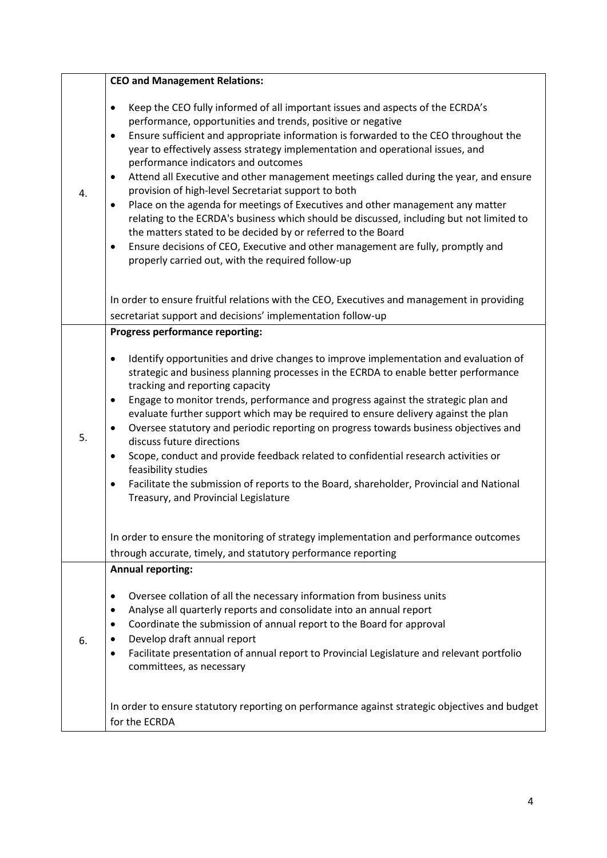|    | <b>CEO and Management Relations:</b>                                                                                                                                                                                                                                                                                                                                                                                                                                                                                                                                                                                                                                                                                                                                                                                                                                                                                                                                  |
|----|-----------------------------------------------------------------------------------------------------------------------------------------------------------------------------------------------------------------------------------------------------------------------------------------------------------------------------------------------------------------------------------------------------------------------------------------------------------------------------------------------------------------------------------------------------------------------------------------------------------------------------------------------------------------------------------------------------------------------------------------------------------------------------------------------------------------------------------------------------------------------------------------------------------------------------------------------------------------------|
| 4. | Keep the CEO fully informed of all important issues and aspects of the ECRDA's<br>$\bullet$<br>performance, opportunities and trends, positive or negative<br>Ensure sufficient and appropriate information is forwarded to the CEO throughout the<br>$\bullet$<br>year to effectively assess strategy implementation and operational issues, and<br>performance indicators and outcomes<br>Attend all Executive and other management meetings called during the year, and ensure<br>$\bullet$<br>provision of high-level Secretariat support to both<br>Place on the agenda for meetings of Executives and other management any matter<br>$\bullet$<br>relating to the ECRDA's business which should be discussed, including but not limited to<br>the matters stated to be decided by or referred to the Board<br>Ensure decisions of CEO, Executive and other management are fully, promptly and<br>$\bullet$<br>properly carried out, with the required follow-up |
|    | In order to ensure fruitful relations with the CEO, Executives and management in providing<br>secretariat support and decisions' implementation follow-up                                                                                                                                                                                                                                                                                                                                                                                                                                                                                                                                                                                                                                                                                                                                                                                                             |
|    | <b>Progress performance reporting:</b>                                                                                                                                                                                                                                                                                                                                                                                                                                                                                                                                                                                                                                                                                                                                                                                                                                                                                                                                |
| 5. | Identify opportunities and drive changes to improve implementation and evaluation of<br>$\bullet$<br>strategic and business planning processes in the ECRDA to enable better performance<br>tracking and reporting capacity<br>Engage to monitor trends, performance and progress against the strategic plan and<br>$\bullet$<br>evaluate further support which may be required to ensure delivery against the plan<br>Oversee statutory and periodic reporting on progress towards business objectives and<br>$\bullet$<br>discuss future directions<br>Scope, conduct and provide feedback related to confidential research activities or<br>$\bullet$<br>feasibility studies<br>Facilitate the submission of reports to the Board, shareholder, Provincial and National<br>$\bullet$<br>Treasury, and Provincial Legislature                                                                                                                                       |
|    | In order to ensure the monitoring of strategy implementation and performance outcomes<br>through accurate, timely, and statutory performance reporting                                                                                                                                                                                                                                                                                                                                                                                                                                                                                                                                                                                                                                                                                                                                                                                                                |
|    | <b>Annual reporting:</b>                                                                                                                                                                                                                                                                                                                                                                                                                                                                                                                                                                                                                                                                                                                                                                                                                                                                                                                                              |
| 6. | Oversee collation of all the necessary information from business units<br>$\bullet$<br>Analyse all quarterly reports and consolidate into an annual report<br>$\bullet$<br>Coordinate the submission of annual report to the Board for approval<br>٠<br>Develop draft annual report<br>Facilitate presentation of annual report to Provincial Legislature and relevant portfolio<br>٠<br>committees, as necessary                                                                                                                                                                                                                                                                                                                                                                                                                                                                                                                                                     |
|    | In order to ensure statutory reporting on performance against strategic objectives and budget<br>for the ECRDA                                                                                                                                                                                                                                                                                                                                                                                                                                                                                                                                                                                                                                                                                                                                                                                                                                                        |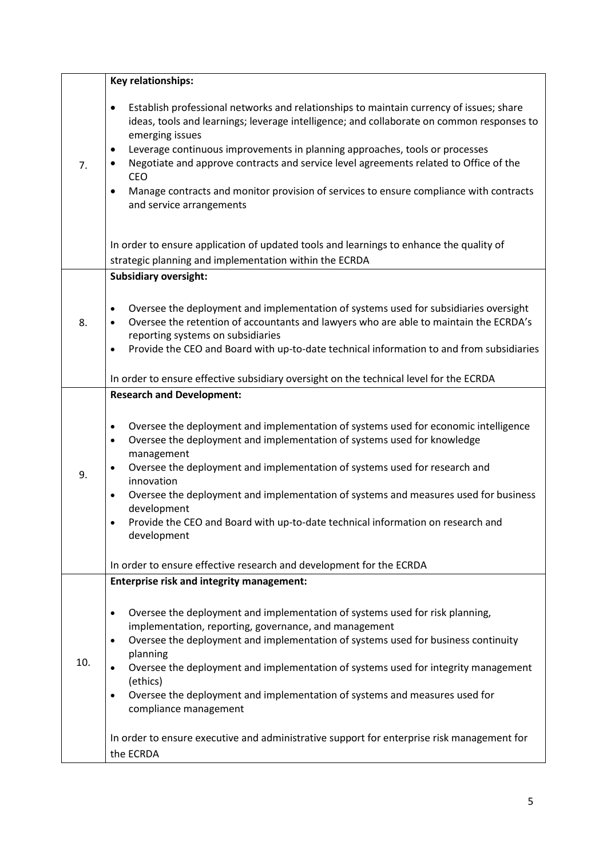|     | <b>Key relationships:</b>                                                                                                                                                                                                                                                                                                                                                                                                                                                                                                                  |  |
|-----|--------------------------------------------------------------------------------------------------------------------------------------------------------------------------------------------------------------------------------------------------------------------------------------------------------------------------------------------------------------------------------------------------------------------------------------------------------------------------------------------------------------------------------------------|--|
| 7.  | Establish professional networks and relationships to maintain currency of issues; share<br>٠<br>ideas, tools and learnings; leverage intelligence; and collaborate on common responses to<br>emerging issues<br>Leverage continuous improvements in planning approaches, tools or processes<br>٠<br>Negotiate and approve contracts and service level agreements related to Office of the<br><b>CEO</b><br>Manage contracts and monitor provision of services to ensure compliance with contracts<br>$\bullet$<br>and service arrangements |  |
|     | In order to ensure application of updated tools and learnings to enhance the quality of                                                                                                                                                                                                                                                                                                                                                                                                                                                    |  |
|     | strategic planning and implementation within the ECRDA                                                                                                                                                                                                                                                                                                                                                                                                                                                                                     |  |
|     | <b>Subsidiary oversight:</b>                                                                                                                                                                                                                                                                                                                                                                                                                                                                                                               |  |
| 8.  | Oversee the deployment and implementation of systems used for subsidiaries oversight<br>$\bullet$<br>Oversee the retention of accountants and lawyers who are able to maintain the ECRDA's<br>reporting systems on subsidiaries<br>Provide the CEO and Board with up-to-date technical information to and from subsidiaries                                                                                                                                                                                                                |  |
|     | In order to ensure effective subsidiary oversight on the technical level for the ECRDA                                                                                                                                                                                                                                                                                                                                                                                                                                                     |  |
|     | <b>Research and Development:</b>                                                                                                                                                                                                                                                                                                                                                                                                                                                                                                           |  |
| 9.  | Oversee the deployment and implementation of systems used for economic intelligence<br>$\bullet$<br>Oversee the deployment and implementation of systems used for knowledge<br>$\bullet$<br>management<br>Oversee the deployment and implementation of systems used for research and<br>innovation<br>Oversee the deployment and implementation of systems and measures used for business<br>$\bullet$<br>development<br>Provide the CEO and Board with up-to-date technical information on research and<br>development                    |  |
|     |                                                                                                                                                                                                                                                                                                                                                                                                                                                                                                                                            |  |
|     | In order to ensure effective research and development for the ECRDA                                                                                                                                                                                                                                                                                                                                                                                                                                                                        |  |
| 10. | <b>Enterprise risk and integrity management:</b><br>Oversee the deployment and implementation of systems used for risk planning,<br>$\bullet$<br>implementation, reporting, governance, and management<br>Oversee the deployment and implementation of systems used for business continuity<br>$\bullet$<br>planning<br>Oversee the deployment and implementation of systems used for integrity management<br>(ethics)<br>Oversee the deployment and implementation of systems and measures used for<br>٠<br>compliance management         |  |
|     | In order to ensure executive and administrative support for enterprise risk management for<br>the ECRDA                                                                                                                                                                                                                                                                                                                                                                                                                                    |  |